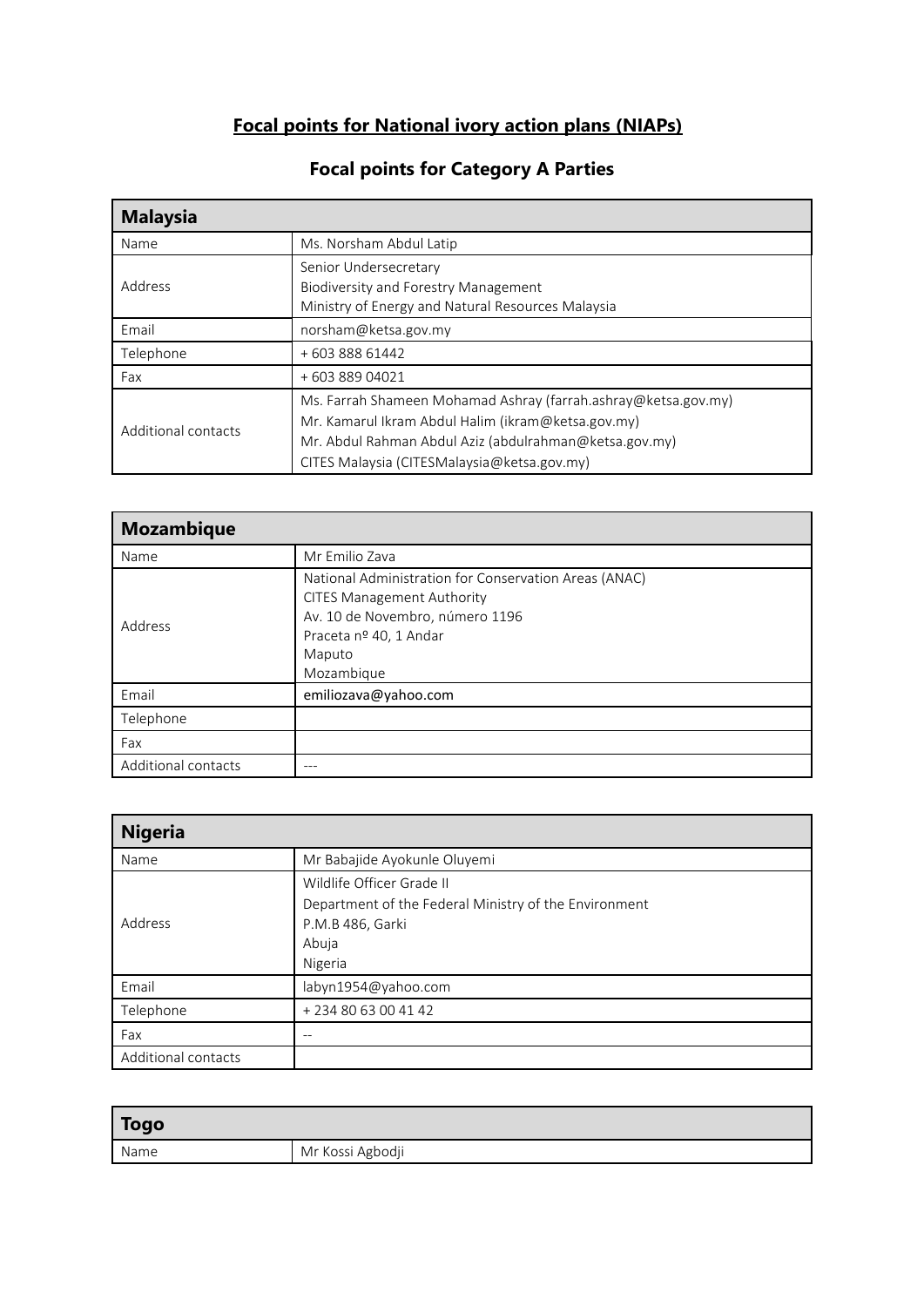# **Focal points for National ivory action plans (NIAPs)**

| <b>Malaysia</b>     |                                                                |
|---------------------|----------------------------------------------------------------|
| Name                | Ms. Norsham Abdul Latip                                        |
|                     | Senior Undersecretary                                          |
| Address             | <b>Biodiversity and Forestry Management</b>                    |
|                     | Ministry of Energy and Natural Resources Malaysia              |
| Email               | norsham@ketsa.gov.my                                           |
| Telephone           | +60388861442                                                   |
| Fax                 | +60388904021                                                   |
| Additional contacts | Ms. Farrah Shameen Mohamad Ashray (farrah.ashray@ketsa.gov.my) |
|                     | Mr. Kamarul Ikram Abdul Halim (ikram@ketsa.gov.my)             |
|                     | Mr. Abdul Rahman Abdul Aziz (abdulrahman@ketsa.gov.my)         |
|                     | CITES Malaysia (CITESMalaysia@ketsa.gov.my)                    |

### **Focal points for Category A Parties**

| <b>Mozambique</b>   |                                                                                                                                                                                 |
|---------------------|---------------------------------------------------------------------------------------------------------------------------------------------------------------------------------|
| Name                | Mr Emilio Zava                                                                                                                                                                  |
| Address             | National Administration for Conservation Areas (ANAC)<br><b>CITES Management Authority</b><br>Av. 10 de Novembro, número 1196<br>Praceta nº 40, 1 Andar<br>Maputo<br>Mozambique |
| Email               | emiliozava@yahoo.com                                                                                                                                                            |
| Telephone           |                                                                                                                                                                                 |
| Fax                 |                                                                                                                                                                                 |
| Additional contacts |                                                                                                                                                                                 |

| <b>Nigeria</b>      |                                                       |
|---------------------|-------------------------------------------------------|
| Name                | Mr Babajide Ayokunle Oluyemi                          |
|                     | Wildlife Officer Grade II                             |
|                     | Department of the Federal Ministry of the Environment |
| Address             | P.M.B 486, Garki                                      |
|                     | Abuja                                                 |
|                     | Nigeria                                               |
| Email               | labyn1954@yahoo.com                                   |
| Telephone           | +2348063004142                                        |
| Fax                 |                                                       |
| Additional contacts |                                                       |

| Togo |                  |
|------|------------------|
| Name | Mr Kossi Agbodji |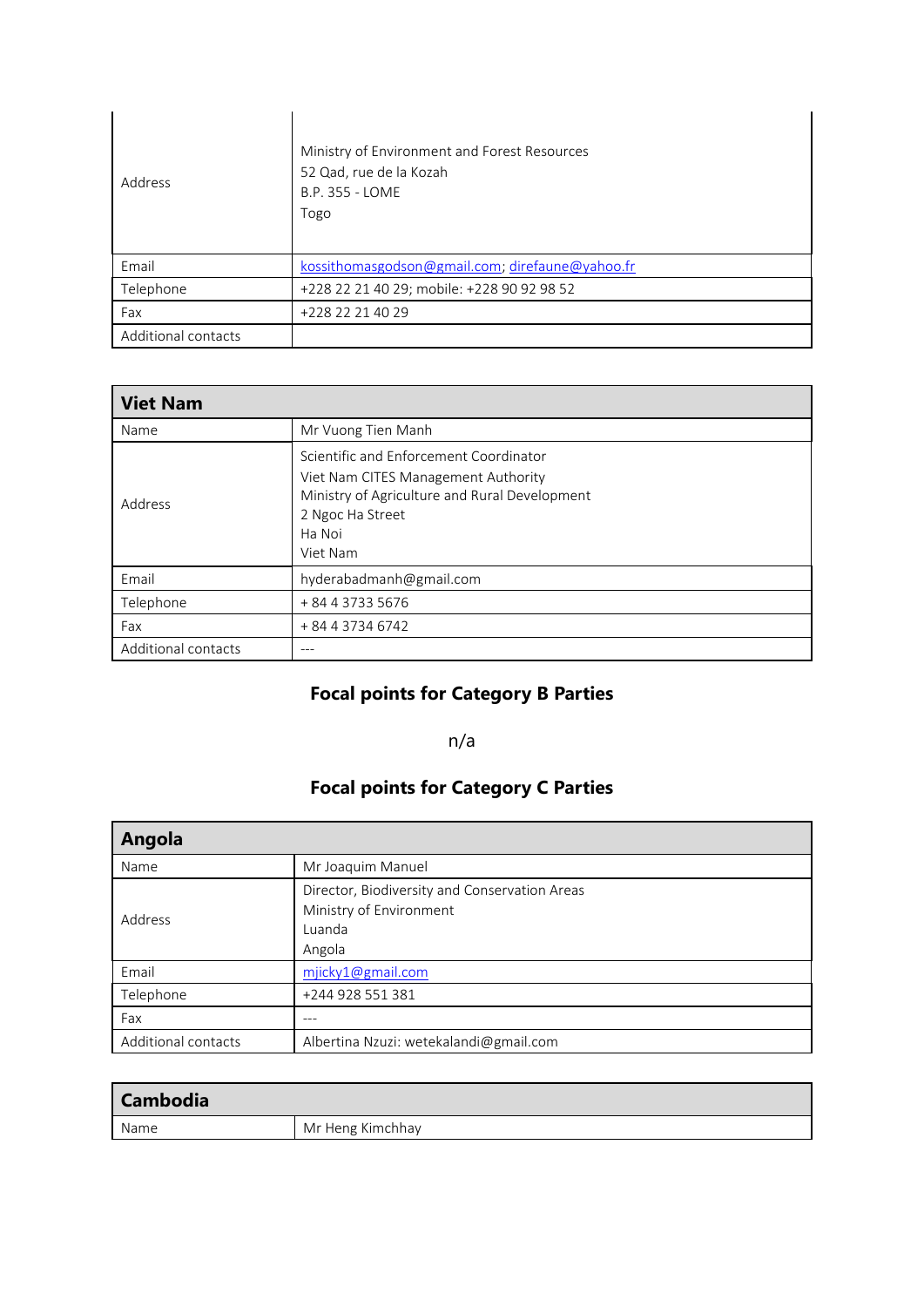| Address             | Ministry of Environment and Forest Resources<br>52 Qad, rue de la Kozah<br>B.P. 355 - LOME<br>Togo |
|---------------------|----------------------------------------------------------------------------------------------------|
| Email               | kossithomasgodson@gmail.com; direfaune@yahoo.fr                                                    |
| Telephone           | +228 22 21 40 29; mobile: +228 90 92 98 52                                                         |
| Fax                 | +228 22 21 40 29                                                                                   |
| Additional contacts |                                                                                                    |

| <b>Viet Nam</b>     |                                                                                                                                                                          |
|---------------------|--------------------------------------------------------------------------------------------------------------------------------------------------------------------------|
| Name                | Mr Vuong Tien Manh                                                                                                                                                       |
| Address             | Scientific and Enforcement Coordinator<br>Viet Nam CITES Management Authority<br>Ministry of Agriculture and Rural Development<br>2 Ngoc Ha Street<br>Ha Noi<br>Viet Nam |
| Email               | hyderabadmanh@gmail.com                                                                                                                                                  |
| Telephone           | + 84 4 3733 5676                                                                                                                                                         |
| Fax                 | + 84 4 3734 6742                                                                                                                                                         |
| Additional contacts | ---                                                                                                                                                                      |

# **Focal points for Category B Parties**

#### n/a

### **Focal points for Category C Parties**

| Angola              |                                                                                              |
|---------------------|----------------------------------------------------------------------------------------------|
| Name                | Mr Joaquim Manuel                                                                            |
| Address             | Director, Biodiversity and Conservation Areas<br>Ministry of Environment<br>Luanda<br>Angola |
| Email               | mjicky1@gmail.com                                                                            |
| Telephone           | +244 928 551 381                                                                             |
| Fax                 |                                                                                              |
| Additional contacts | Albertina Nzuzi: wetekalandi@gmail.com                                                       |

| <b>Cambodia</b> |                  |
|-----------------|------------------|
| Name            | Mr Heng Kimchhay |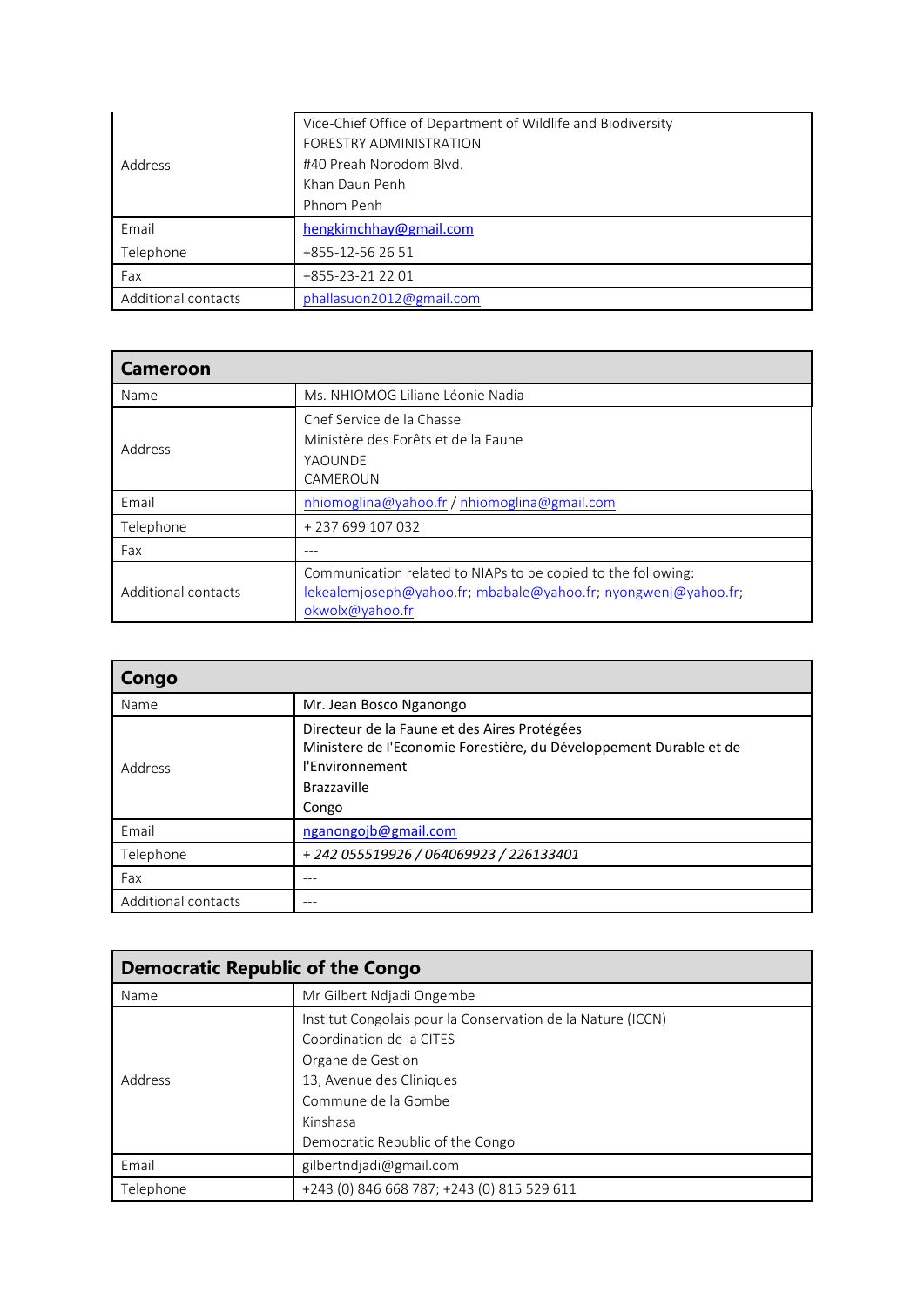| Address             | Vice-Chief Office of Department of Wildlife and Biodiversity<br>FORESTRY ADMINISTRATION<br>#40 Preah Norodom Blvd.<br>Khan Daun Penh<br>Phnom Penh |
|---------------------|----------------------------------------------------------------------------------------------------------------------------------------------------|
| Email               | hengkimchhay@gmail.com                                                                                                                             |
| Telephone           | +855-12-56 26 51                                                                                                                                   |
| Fax                 | +855-23-21 22 01                                                                                                                                   |
| Additional contacts | phallasuon2012@gmail.com                                                                                                                           |

| <b>Cameroon</b>     |                                                                |
|---------------------|----------------------------------------------------------------|
| Name                | Ms. NHIOMOG Liliane Léonie Nadia                               |
|                     | Chef Service de la Chasse                                      |
| Address             | Ministère des Forêts et de la Faune                            |
|                     | YAOUNDE                                                        |
|                     | CAMEROUN                                                       |
| Email               | nhiomoglina@yahoo.fr / nhiomoglina@gmail.com                   |
| Telephone           | +237699107032                                                  |
| Fax                 |                                                                |
| Additional contacts | Communication related to NIAPs to be copied to the following:  |
|                     | lekealemjoseph@yahoo.fr; mbabale@yahoo.fr; nyongwenj@yahoo.fr; |
|                     | okwolx@yahoo.fr                                                |

| Congo               |                                                                                                                                                               |
|---------------------|---------------------------------------------------------------------------------------------------------------------------------------------------------------|
| Name                | Mr. Jean Bosco Nganongo                                                                                                                                       |
| Address             | Directeur de la Faune et des Aires Protégées<br>Ministere de l'Economie Forestière, du Développement Durable et de<br>l'Environnement<br>Brazzaville<br>Congo |
| Email               | nganongojb@gmail.com                                                                                                                                          |
| Telephone           | +242 055519926 / 064069923 / 226133401                                                                                                                        |
| Fax                 | ---                                                                                                                                                           |
| Additional contacts |                                                                                                                                                               |

| <b>Democratic Republic of the Congo</b> |                                                             |
|-----------------------------------------|-------------------------------------------------------------|
| Name                                    | Mr Gilbert Ndjadi Ongembe                                   |
| Address                                 | Institut Congolais pour la Conservation de la Nature (ICCN) |
|                                         | Coordination de la CITES                                    |
|                                         | Organe de Gestion                                           |
|                                         | 13, Avenue des Cliniques                                    |
|                                         | Commune de la Gombe                                         |
|                                         | Kinshasa                                                    |
|                                         | Democratic Republic of the Congo                            |
| Email                                   | gilbertndjadi@gmail.com                                     |
| Telephone                               | +243 (0) 846 668 787; +243 (0) 815 529 611                  |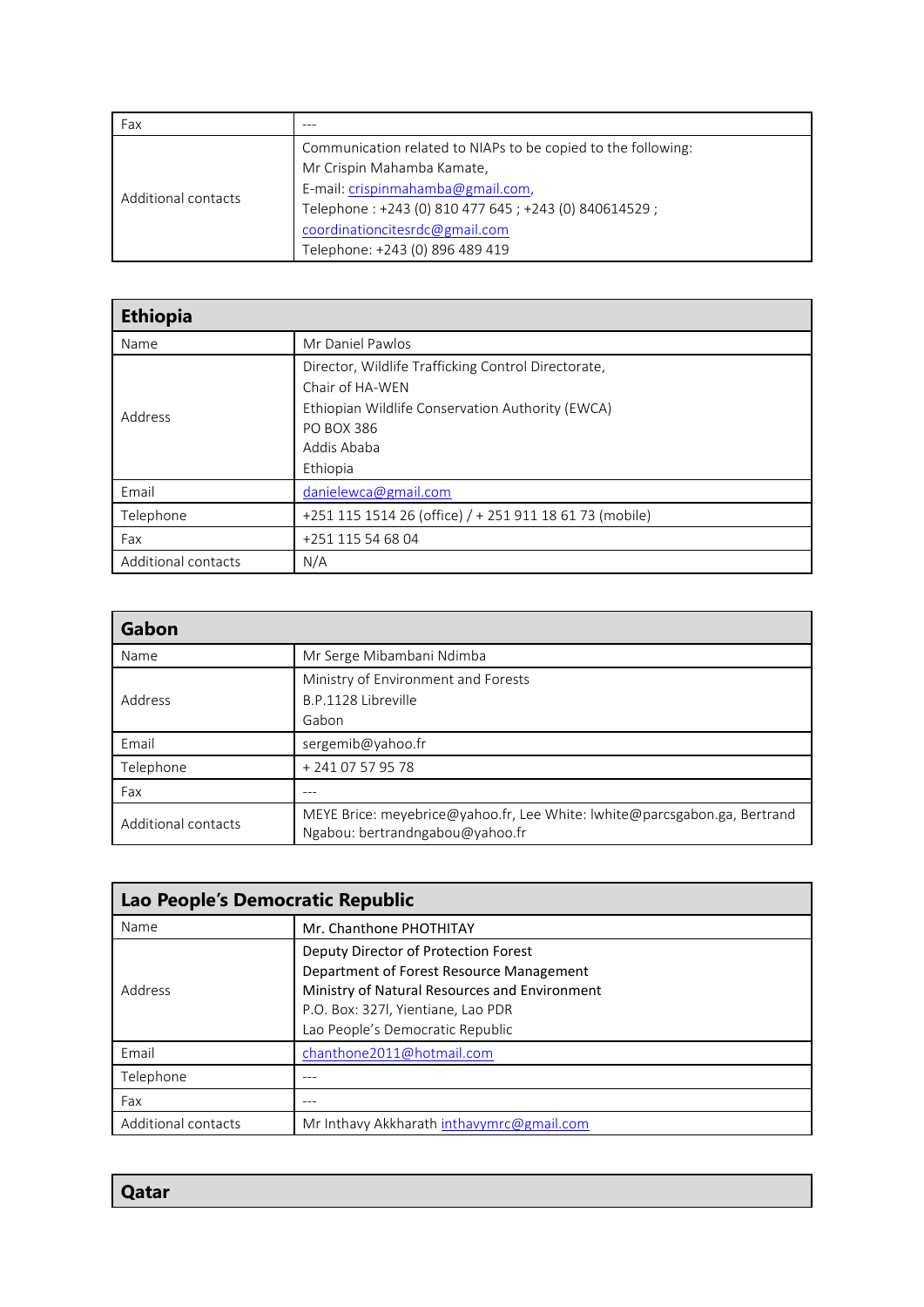| Fax                 |                                                                                                                                                                                                                            |
|---------------------|----------------------------------------------------------------------------------------------------------------------------------------------------------------------------------------------------------------------------|
| Additional contacts | Communication related to NIAPs to be copied to the following:<br>Mr Crispin Mahamba Kamate,<br>E-mail: crispinmahamba@gmail.com,<br>Telephone: +243 (0) 810 477 645; +243 (0) 840614529;<br>coordinationcitesrdc@gmail.com |
|                     | Telephone: +243 (0) 896 489 419                                                                                                                                                                                            |

| <b>Ethiopia</b>     |                                                                                                                                                                     |  |
|---------------------|---------------------------------------------------------------------------------------------------------------------------------------------------------------------|--|
| Name                | Mr Daniel Pawlos                                                                                                                                                    |  |
| Address             | Director, Wildlife Trafficking Control Directorate,<br>Chair of HA-WEN<br>Ethiopian Wildlife Conservation Authority (EWCA)<br>PO BOX 386<br>Addis Ababa<br>Ethiopia |  |
| Email               | danielewca@gmail.com                                                                                                                                                |  |
| Telephone           | +251 115 1514 26 (office) / + 251 911 18 61 73 (mobile)                                                                                                             |  |
| Fax                 | +251 115 54 68 04                                                                                                                                                   |  |
| Additional contacts | N/A                                                                                                                                                                 |  |

| Gabon               |                                                                                                              |  |
|---------------------|--------------------------------------------------------------------------------------------------------------|--|
| Name                | Mr Serge Mibambani Ndimba                                                                                    |  |
| Address             | Ministry of Environment and Forests<br>B.P.1128 Libreville<br>Gabon                                          |  |
| Email               | sergemib@yahoo.fr                                                                                            |  |
| Telephone           | + 241 07 57 95 78                                                                                            |  |
| Fax                 |                                                                                                              |  |
| Additional contacts | MEYE Brice: meyebrice@yahoo.fr, Lee White: lwhite@parcsgabon.ga, Bertrand<br>Ngabou: bertrandngabou@yahoo.fr |  |

| Lao People's Democratic Republic |                                                                                                                                                                                                             |  |
|----------------------------------|-------------------------------------------------------------------------------------------------------------------------------------------------------------------------------------------------------------|--|
| Name                             | Mr. Chanthone PHOTHITAY                                                                                                                                                                                     |  |
| Address                          | Deputy Director of Protection Forest<br>Department of Forest Resource Management<br>Ministry of Natural Resources and Environment<br>P.O. Box: 327l, Yientiane, Lao PDR<br>Lao People's Democratic Republic |  |
| Email                            | chanthone2011@hotmail.com                                                                                                                                                                                   |  |
| Telephone                        |                                                                                                                                                                                                             |  |
| Fax                              |                                                                                                                                                                                                             |  |
| Additional contacts              | Mr Inthavy Akkharath inthavymrc@gmail.com                                                                                                                                                                   |  |